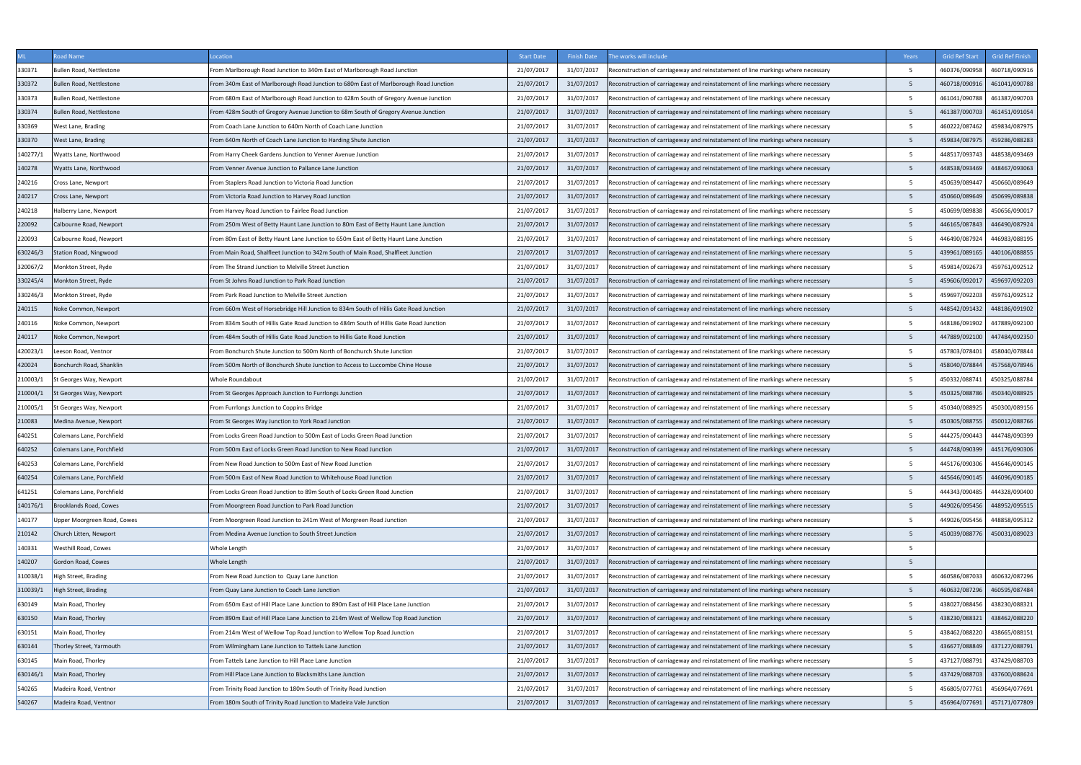|          | oad Name                    | ocation                                                                                 | <b>Start Date</b> | <b>Finish Date</b> | he works will include                                                            | Years | <b>Grid Ref Start</b> | <b>Grid Ref Finish</b> |
|----------|-----------------------------|-----------------------------------------------------------------------------------------|-------------------|--------------------|----------------------------------------------------------------------------------|-------|-----------------------|------------------------|
| 330371   | Bullen Road. Nettlestone    | From Marlborough Road Junction to 340m East of Marlborough Road Junction                | 21/07/2017        | 31/07/2017         | Reconstruction of carriageway and reinstatement of line markings where necessary | -5    | 460376/090958         | 460718/090916          |
| 330372   | Bullen Road, Nettlestone    | From 340m East of Marlborough Road Junction to 680m East of Marlborough Road Junction   | 21/07/2017        | 31/07/2017         | Reconstruction of carriageway and reinstatement of line markings where necessary | -5    | 460718/090916         | 461041/090788          |
| 330373   | Bullen Road, Nettlestone    | From 680m East of Marlborough Road Junction to 428m South of Gregory Avenue Junction    | 21/07/2017        | 31/07/2017         | Reconstruction of carriageway and reinstatement of line markings where necessary | - 5   | 461041/090788         | 461387/090703          |
| 330374   | Bullen Road, Nettlestone    | From 428m South of Gregory Avenue Junction to 68m South of Gregory Avenue Junction      | 21/07/2017        | 31/07/2017         | Reconstruction of carriageway and reinstatement of line markings where necessary | -5    | 461387/090703         | 461451/091054          |
| 330369   | West Lane, Brading          | From Coach Lane Junction to 640m North of Coach Lane Junction                           | 21/07/2017        | 31/07/2017         | Reconstruction of carriageway and reinstatement of line markings where necessary | -5    | 460222/087462         | 459834/087975          |
| 330370   | West Lane, Brading          | From 640m North of Coach Lane Junction to Harding Shute Junction                        | 21/07/2017        | 31/07/2017         | Reconstruction of carriageway and reinstatement of line markings where necessary | -5    | 459834/087975         | 459286/088283          |
| 140277/1 | Wyatts Lane, Northwood      | From Harry Cheek Gardens Junction to Venner Avenue Junction                             | 21/07/2017        | 31/07/2017         | Reconstruction of carriageway and reinstatement of line markings where necessary | -5    | 448517/093743         | 448538/093469          |
| 140278   | Wyatts Lane, Northwood      | From Venner Avenue Junction to Pallance Lane Junction                                   | 21/07/2017        | 31/07/2017         | Reconstruction of carriageway and reinstatement of line markings where necessary | - 5   | 448538/093469         | 448467/093063          |
| 240216   | Cross Lane, Newport         | From Staplers Road Junction to Victoria Road Junction                                   | 21/07/2017        | 31/07/2017         | Reconstruction of carriageway and reinstatement of line markings where necessary | -5    | 450639/089447         | 450660/089649          |
| 240217   | Cross Lane, Newport         | From Victoria Road Junction to Harvey Road Junction                                     | 21/07/2017        | 31/07/2017         | Reconstruction of carriageway and reinstatement of line markings where necessary | 5     | 450660/089649         | 450699/089838          |
| 240218   | Halberry Lane, Newport      | From Harvey Road Junction to Fairlee Road Junction                                      | 21/07/2017        | 31/07/2017         | Reconstruction of carriageway and reinstatement of line markings where necessary | -5    | 450699/089838         | 450656/090017          |
| 220092   | Calbourne Road, Newport     | From 250m West of Betty Haunt Lane Junction to 80m East of Betty Haunt Lane Junction    | 21/07/2017        | 31/07/2017         | Reconstruction of carriageway and reinstatement of line markings where necessary | -5    | 446165/087843         | 446490/087924          |
| 220093   | Calbourne Road, Newport     | From 80m East of Betty Haunt Lane Junction to 650m East of Betty Haunt Lane Junction    | 21/07/2017        | 31/07/2017         | Reconstruction of carriageway and reinstatement of line markings where necessary | -5    | 446490/087924         | 446983/088195          |
| 630246/3 | Station Road, Ningwood      | From Main Road, Shalfleet Junction to 342m South of Main Road, Shalfleet Junction       | 21/07/2017        | 31/07/2017         | Reconstruction of carriageway and reinstatement of line markings where necessary | -5    | 439961/089165         | 440106/088855          |
| 320067/2 | Monkton Street, Ryde        | From The Strand Junction to Melville Street Junction                                    | 21/07/2017        | 31/07/2017         | Reconstruction of carriageway and reinstatement of line markings where necessary | - 5   | 459814/092673         | 459761/092512          |
| 330245/4 | Monkton Street, Ryde        | rom St Johns Road Junction to Park Road Junction                                        | 21/07/2017        | 31/07/2017         | Reconstruction of carriageway and reinstatement of line markings where necessary | -5    | 459606/092017         | 459697/092203          |
| 330246/3 | Monkton Street, Ryde        | From Park Road Junction to Melville Street Junction                                     | 21/07/2017        | 31/07/2017         | Reconstruction of carriageway and reinstatement of line markings where necessary | 5     | 459697/092203         | 459761/092512          |
| 240115   | Noke Common, Newport        | rom 660m West of Horsebridge Hill Junction to 834m South of Hillis Gate Road Junction   | 21/07/2017        | 31/07/2017         | Reconstruction of carriageway and reinstatement of line markings where necessary | -5    | 448542/091432         | 448186/091902          |
| 240116   | Noke Common, Newport        | From 834m South of Hillis Gate Road Junction to 484m South of Hillis Gate Road Junction | 21/07/2017        | 31/07/2017         | Reconstruction of carriageway and reinstatement of line markings where necessary | -5    | 448186/091902         | 447889/092100          |
| 240117   | Noke Common, Newport        | From 484m South of Hillis Gate Road Junction to Hillis Gate Road Junction               | 21/07/2017        | 31/07/2017         | Reconstruction of carriageway and reinstatement of line markings where necessary | - 5   | 447889/092100         | 447484/092350          |
| 420023/1 | eeson Road, Ventnor         | From Bonchurch Shute Junction to 500m North of Bonchurch Shute Junction                 | 21/07/2017        | 31/07/2017         | Reconstruction of carriageway and reinstatement of line markings where necessary | -5    | 457803/078401         | 458040/078844          |
| 420024   | Bonchurch Road, Shanklin    | From 500m North of Bonchurch Shute Junction to Access to Luccombe Chine House           | 21/07/2017        | 31/07/2017         | Reconstruction of carriageway and reinstatement of line markings where necessary | - 5   | 458040/078844         | 457568/078946          |
| :10003/1 | St Georges Way, Newport     | Vhole Roundabout                                                                        | 21/07/2017        | 31/07/2017         | Reconstruction of carriageway and reinstatement of line markings where necessary | -5    | 450332/088741         | 450325/088784          |
| 210004/1 | St Georges Way, Newport     | From St Georges Approach Junction to Furrlongs Junction                                 | 21/07/2017        | 31/07/2017         | Reconstruction of carriageway and reinstatement of line markings where necessary | 5     | 450325/088786         | 450340/088925          |
| 210005/1 | St Georges Way, Newport     | rom Furrlongs Junction to Coppins Bridge                                                | 21/07/2017        | 31/07/2017         | Reconstruction of carriageway and reinstatement of line markings where necessary | -5    | 450340/088925         | 450300/089156          |
| 210083   | Medina Avenue, Newport      | From St Georges Way Junction to York Road Junction                                      | 21/07/2017        | 31/07/2017         | Reconstruction of carriageway and reinstatement of line markings where necessary | -5    | 450305/088755         | 450012/088766          |
| 640251   | Colemans Lane, Porchfield   | From Locks Green Road Junction to 500m East of Locks Green Road Junction                | 21/07/2017        | 31/07/2017         | Reconstruction of carriageway and reinstatement of line markings where necessary | - 5   | 444275/090443         | 444748/090399          |
| 640252   | Colemans Lane, Porchfield   | From 500m East of Locks Green Road Junction to New Road Junction                        | 21/07/2017        | 31/07/2017         | Reconstruction of carriageway and reinstatement of line markings where necessary | -5    | 444748/090399         | 445176/090306          |
| 640253   | Colemans Lane, Porchfield   | From New Road Junction to 500m East of New Road Junction                                | 21/07/2017        | 31/07/2017         | Reconstruction of carriageway and reinstatement of line markings where necessary | 5     | 445176/090306         | 445646/090145          |
| 640254   | Colemans Lane, Porchfield   | From 500m East of New Road Junction to Whitehouse Road Junction                         | 21/07/2017        | 31/07/2017         | Reconstruction of carriageway and reinstatement of line markings where necessary | -5    | 445646/090145         | 446096/090185          |
| 641251   | Colemans Lane, Porchfield   | From Locks Green Road Junction to 89m South of Locks Green Road Junction                | 21/07/2017        | 31/07/2017         | Reconstruction of carriageway and reinstatement of line markings where necessary | 5     | 444343/090485         | 444328/090400          |
| 140176/1 | Brooklands Road, Cowes      | From Moorgreen Road Junction to Park Road Junction                                      | 21/07/2017        | 31/07/2017         | Reconstruction of carriageway and reinstatement of line markings where necessary | 5     | 449026/095456         | 448952/095515          |
| 140177   | Upper Moorgreen Road, Cowes | From Moorgreen Road Junction to 241m West of Morgreen Road Junction                     | 21/07/2017        | 31/07/2017         | Reconstruction of carriageway and reinstatement of line markings where necessary | -5    | 449026/095456         | 448858/095312          |
| 210142   | Church Litten, Newport      | From Medina Avenue Junction to South Street Junction                                    | 21/07/2017        | 31/07/2017         | Reconstruction of carriageway and reinstatement of line markings where necessary | 5     | 450039/088776         | 450031/089023          |
| 140331   | Westhill Road, Cowes        | Whole Length                                                                            | 21/07/2017        | 31/07/2017         | Reconstruction of carriageway and reinstatement of line markings where necessary | -5    |                       |                        |
| 140207   | Gordon Road, Cowes          | Whole Length                                                                            | 21/07/2017        | 31/07/2017         | Reconstruction of carriageway and reinstatement of line markings where necessary | -5    |                       |                        |
| 310038/1 | High Street, Brading        | From New Road Junction to Quay Lane Junction                                            | 21/07/2017        | 31/07/2017         | Reconstruction of carriageway and reinstatement of line markings where necessary | -5    | 460586/087033         | 460632/087296          |
| 310039/1 | <b>High Street, Brading</b> | From Quay Lane Junction to Coach Lane Junction                                          | 21/07/2017        | 31/07/2017         | Reconstruction of carriageway and reinstatement of line markings where necessary | -5    | 460632/087296         | 460595/087484          |
| 630149   | Main Road, Thorley          | From 650m East of Hill Place Lane Junction to 890m East of Hill Place Lane Junction     | 21/07/2017        | 31/07/2017         | Reconstruction of carriageway and reinstatement of line markings where necessary | - 5   | 438027/088456         | 438230/088321          |
| 630150   | Main Road, Thorley          | From 890m East of Hill Place Lane Junction to 214m West of Wellow Top Road Junction     | 21/07/2017        | 31/07/2017         | Reconstruction of carriageway and reinstatement of line markings where necessary | - 5   | 438230/088321         | 438462/088220          |
| 630151   | Main Road, Thorley          | From 214m West of Wellow Top Road Junction to Wellow Top Road Junction                  | 21/07/2017        | 31/07/2017         | Reconstruction of carriageway and reinstatement of line markings where necessary | 5     | 438462/088220         | 438665/088151          |
| 630144   | Thorley Street, Yarmouth    | From Wilmingham Lane Junction to Tattels Lane Junction                                  | 21/07/2017        | 31/07/2017         | Reconstruction of carriageway and reinstatement of line markings where necessary | -5    | 436677/088849         | 437127/088791          |
| 630145   | Main Road, Thorley          | From Tattels Lane Junction to Hill Place Lane Junction                                  | 21/07/2017        | 31/07/2017         | Reconstruction of carriageway and reinstatement of line markings where necessary | .5    | 437127/088791         | 437429/088703          |
| 630146/1 | Main Road, Thorley          | From Hill Place Lane Junction to Blacksmiths Lane Junction                              | 21/07/2017        | 31/07/2017         | Reconstruction of carriageway and reinstatement of line markings where necessary | 5     | 437429/088703         | 437600/088624          |
| 540265   | Madeira Road, Ventnor       | From Trinity Road Junction to 180m South of Trinity Road Junction                       | 21/07/2017        | 31/07/2017         | Reconstruction of carriageway and reinstatement of line markings where necessary | 5     | 456805/077761         | 456964/077691          |
| 540267   | Madeira Road, Ventnor       | From 180m South of Trinity Road Junction to Madeira Vale Junction                       | 21/07/2017        | 31/07/2017         | Reconstruction of carriageway and reinstatement of line markings where necessary | - 5   | 456964/077691         | 457171/077809          |